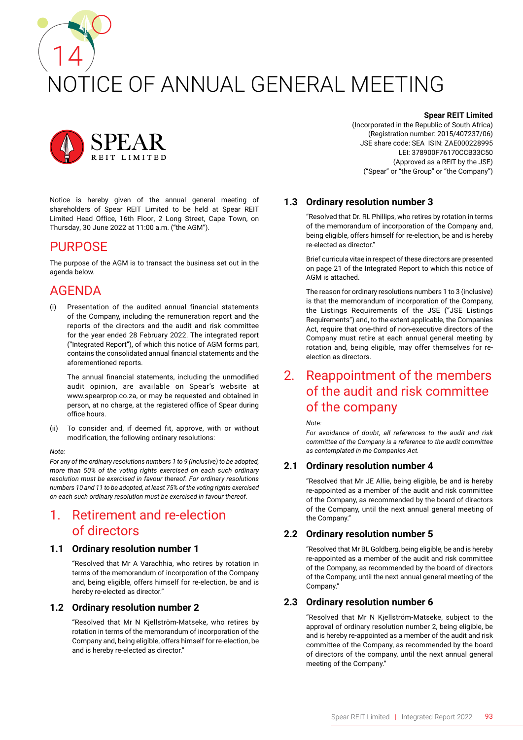# 14 NOTICE OF ANNUAL GENERAL MEETING



Notice is hereby given of the annual general meeting of shareholders of Spear REIT Limited to be held at Spear REIT Limited Head Office, 16th Floor, 2 Long Street, Cape Town, on Thursday, 30 June 2022 at 11:00 a.m. ("the AGM").

## PURPOSE

The purpose of the AGM is to transact the business set out in the agenda below.

# AGENDA

(i) Presentation of the audited annual financial statements of the Company, including the remuneration report and the reports of the directors and the audit and risk committee for the year ended 28 February 2022. The integrated report ("Integrated Report"), of which this notice of AGM forms part, contains the consolidated annual financial statements and the aforementioned reports.

The annual financial statements, including the unmodified audit opinion, are available on Spear's website at www.spearprop.co.za, or may be requested and obtained in person, at no charge, at the registered office of Spear during office hours.

(ii) To consider and, if deemed fit, approve, with or without modification, the following ordinary resolutions:

#### *Note:*

*For any of the ordinary resolutions numbers 1 to 9 (inclusive) to be adopted, more than 50% of the voting rights exercised on each such ordinary resolution must be exercised in favour thereof. For ordinary resolutions numbers 10 and 11 to be adopted, at least 75% of the voting rights exercised on each such ordinary resolution must be exercised in favour thereof.*

# 1. Retirement and re-election of directors

#### **1.1 Ordinary resolution number 1**

"Resolved that Mr A Varachhia, who retires by rotation in terms of the memorandum of incorporation of the Company and, being eligible, offers himself for re-election, be and is hereby re-elected as director."

## **1.2 Ordinary resolution number 2**

"Resolved that Mr N Kjellström-Matseke, who retires by rotation in terms of the memorandum of incorporation of the Company and, being eligible, offers himself for re-election, be and is hereby re-elected as director."

#### **Spear REIT Limited**

(Incorporated in the Republic of South Africa) (Registration number: 2015/407237/06) JSE share code: SEA ISIN: ZAE000228995 LEI: 378900F76170CCB33C50 (Approved as a REIT by the JSE) ("Spear" or "the Group" or "the Company")

## **1.3 Ordinary resolution number 3**

"Resolved that Dr. RL Phillips, who retires by rotation in terms of the memorandum of incorporation of the Company and, being eligible, offers himself for re-election, be and is hereby re-elected as director."

Brief curricula vitae in respect of these directors are presented on page 21 of the Integrated Report to which this notice of AGM is attached.

The reason for ordinary resolutions numbers 1 to 3 (inclusive) is that the memorandum of incorporation of the Company, the Listings Requirements of the JSE ("JSE Listings Requirements") and, to the extent applicable, the Companies Act, require that one-third of non-executive directors of the Company must retire at each annual general meeting by rotation and, being eligible, may offer themselves for reelection as directors.

# 2. Reappointment of the members of the audit and risk committee of the company

*Note:*

*For avoidance of doubt, all references to the audit and risk committee of the Company is a reference to the audit committee as contemplated in the Companies Act.*

## **2.1 Ordinary resolution number 4**

"Resolved that Mr JE Allie, being eligible, be and is hereby re-appointed as a member of the audit and risk committee of the Company, as recommended by the board of directors of the Company, until the next annual general meeting of the Company."

## **2.2 Ordinary resolution number 5**

"Resolved that Mr BL Goldberg, being eligible, be and is hereby re-appointed as a member of the audit and risk committee of the Company, as recommended by the board of directors of the Company, until the next annual general meeting of the Company."

## **2.3 Ordinary resolution number 6**

"Resolved that Mr N Kjellström-Matseke, subject to the approval of ordinary resolution number 2, being eligible, be and is hereby re-appointed as a member of the audit and risk committee of the Company, as recommended by the board of directors of the company, until the next annual general meeting of the Company."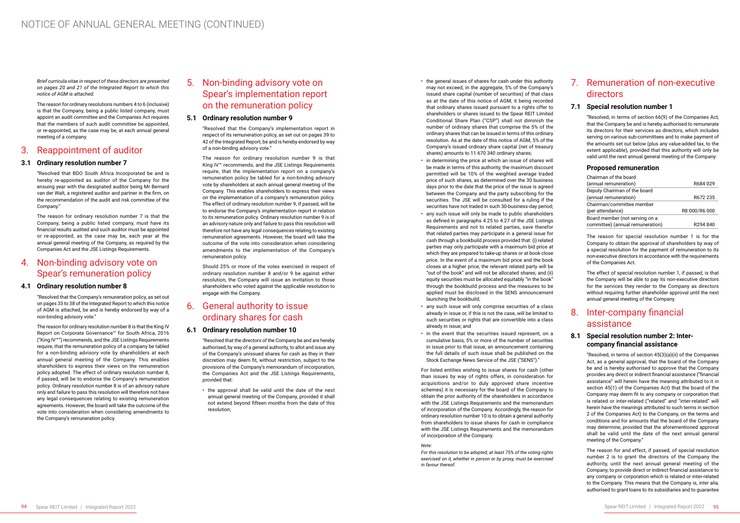*Brief curricula vitae in respect of these directors are presented on pages 20 and 21 of the Integrated Report to which this notice of AGM is attached.*

The reason for ordinary resolutions numbers 4 to 6 (inclusive) is that the Company, being a public listed company, must appoint an audit committee and the Companies Act requires that the members of such audit committee be appointed, or re-appointed, as the case may be, at each annual general meeting of a company.

## 3. Reappointment of auditor

## **3.1 Ordinary resolution number 7**

"Resolved that BDO South Africa Incorporated be and is hereby re-appointed as auditor of the Company for the ensuing year with the designated auditor being Mr Bernard van der Walt, a registered auditor and partner in the firm, on the recommendation of the audit and risk committee of the Company."

The reason for ordinary resolution number 7 is that the Company, being a public listed company, must have its financial results audited and such auditor must be appointed or re-appointed, as the case may be, each year at the annual general meeting of the Company, as required by the Companies Act and the JSE Listings Requirements.

## 4. Non-binding advisory vote on Spear's remuneration policy

## **4.1 Ordinary resolution number 8**

"Resolved that the Company's remuneration policy, as set out on pages 33 to 38 of the Integrated Report to which this notice of AGM is attached, be and is hereby endorsed by way of a non-binding advisory vote."

The reason for ordinary resolution number 8 is that the King IV Report on Corporate Governance™ for South Africa, 2016 ("King IV™") recommends, and the JSE Listings Requirements require, that the remuneration policy of a company be tabled for a non-binding advisory vote by shareholders at each annual general meeting of the Company. This enables shareholders to express their views on the remuneration policy adopted. The effect of ordinary resolution number 8, if passed, will be to endorse the Company's remuneration policy. Ordinary resolution number 8 is of an advisory nature only and failure to pass this resolution will therefore not have any legal consequences relating to existing remuneration agreements. However, the board will take the outcome of the vote into consideration when considering amendments to the Company's remuneration policy.

# 5. Non-binding advisory vote on Spear's implementation report on the remuneration policy

### **5.1 Ordinary resolution number 9**

"Resolved that the Company's implementation report in respect of its remuneration policy, as set out on pages 39 to 42 of the Integrated Report, be and is hereby endorsed by way of a non-binding advisory vote."

The reason for ordinary resolution number 9 is that King IV™ recommends, and the JSE Listings Requirements require, that the implementation report on a company's remuneration policy be tabled for a non-binding advisory vote by shareholders at each annual general meeting of the Company. This enables shareholders to express their views on the implementation of a company's remuneration policy. The effect of ordinary resolution number 9, if passed, will be to endorse the Company's implementation report in relation to its remuneration policy. Ordinary resolution number 9 is of an advisory nature only and failure to pass this resolution will therefore not have any legal consequences relating to existing remuneration agreements. However, the board will take the outcome of the vote into consideration when considering amendments to the implementation of the Company's remuneration policy.

Should 25% or more of the votes exercised in respect of ordinary resolution number 8 and/or 9 be against either resolution, the Company will issue an invitation to those shareholders who voted against the applicable resolution to engage with the Company.

# 6. General authority to issue ordinary shares for cash

## **6.1 Ordinary resolution number 10**

"Resolved that the directors of the Company be and are hereby authorised, by way of a general authority, to allot and issue any of the Company's unissued shares for cash as they in their discretion may deem fit, without restriction, subject to the provisions of the Company's memorandum of incorporation, the Companies Act and the JSE Listings Requirements, provided that:

• the approval shall be valid until the date of the next annual general meeting of the Company, provided it shall not extend beyond fifteen months from the date of this resolution;

- the general issues of shares for cash under this authority may not exceed, in the aggregate, 5% of the Company's issued share capital (number of securities) of that class as at the date of this notice of AGM, it being recorded that ordinary shares issued pursuant to a rights offer to shareholders or shares issued to the Spear REIT Limited Conditional Share Plan ("CSP") shall not diminish the number of ordinary shares that comprise the 5% of the ordinary shares that can be issued in terms of this ordinary resolution. As at the date of this notice of AGM, 5% of the Company's issued ordinary share capital (net of treasury shares) amounts to 11 670 340 ordinary shares;
- in determining the price at which an issue of shares will be made in terms of this authority, the maximum discount permitted will be 10% of the weighted average traded price of such shares, as determined over the 30 business days prior to the date that the price of the issue is agreed between the Company and the party subscribing for the securities. The JSE will be consulted for a ruling if the securities have not traded in such 30-business-day period;
- any such issue will only be made to public shareholders as defined in paragraphs 4.25 to 4.27 of the JSE Listings Requirements and not to related parties, save therefor that related parties may participate in a general issue for cash through a bookbuild process provided that: (i) related parties may only participate with a maximum bid price at which they are prepared to take-up shares or at book close price. In the event of a maximum bid price and the book closes at a higher price, the relevant related party will be "out of the book" and will not be allocated shares; and (ii) equity securities must be allocated equitably "in the book" through the bookbuild process and the measures to be applied must be disclosed in the SENS announcement launching the bookbuild;
- any such issue will only comprise securities of a class already in issue or, if this is not the case, will be limited to such securities or rights that are convertible into a class already in issue; and
- in the event that the securities issued represent, on a cumulative basis, 5% or more of the number of securities in issue prior to that issue, an announcement containing the full details of such issue shall be published on the Stock Exchange News Service of the JSE ("SENS")."

For listed entities wishing to issue shares for cash (other than issues by way of rights offers, in consideration for acquisitions and/or to duly approved share incentive schemes) it is necessary for the board of the Company to obtain the prior authority of the shareholders in accordance with the JSE Listings Requirements and the memorandum of incorporation of the Company. Accordingly, the reason for ordinary resolution number 10 is to obtain a general authority from shareholders to issue shares for cash in compliance with the JSE Listings Requirements and the memorandum of incorporation of the Company.

#### *Note:*

*For this resolution to be adopted, at least 75% of the voting rights exercised on it, whether in person or by proxy, must be exercised in favour thereof.*

# 7. Remuneration of non-executive directors

## **7.1 Special resolution number 1**

"Resolved, in terms of section 66(9) of the Companies Act, that the Company be and is hereby authorised to remunerate its directors for their services as directors, which includes serving on various sub-committees and to make payment of the amounts set out below (plus any value-added tax, to the extent applicable), provided that this authority will only be valid until the next annual general meeting of the Company:

## **Proposed remuneration**

| Chairman of the board            |                      |
|----------------------------------|----------------------|
| (annual remuneration)            | R684029              |
| Deputy Chairman of the board     |                      |
| (annual remuneration)            | R672 235             |
| Chairman/committee member        |                      |
| (per attendance)                 | R8 000/R6 000        |
| Board member (not serving on a   |                      |
| committee) (annual remuneration) | R <sub>294</sub> 840 |

The reason for special resolution number 1 is for the Company to obtain the approval of shareholders by way of a special resolution for the payment of remuneration to its non-executive directors in accordance with the requirements of the Companies Act.

The effect of special resolution number 1, if passed, is that the Company will be able to pay its non-executive directors for the services they render to the Company as directors without requiring further shareholder approval until the next annual general meeting of the Company.

# 8. Inter-company financial assistance

## **8.1 Special resolution number 2: Intercompany financial assistance**

"Resolved, in terms of section 45(3)(a)(ii) of the Companies Act, as a general approval, that the board of the Company be and is hereby authorised to approve that the Company provides any direct or indirect financial assistance ("financial assistance" will herein have the meaning attributed to it in section 45(1) of the Companies Act) that the board of the Company may deem fit to any company or corporation that is related or inter-related ("related" and "inter-related" will herein have the meanings attributed to such terms in section 2 of the Companies Act) to the Company, on the terms and conditions and for amounts that the board of the Company may determine, provided that the aforementioned approval shall be valid until the date of the next annual general meeting of the Company."

The reason for and effect, if passed, of special resolution number 2 is to grant the directors of the Company the authority, until the next annual general meeting of the Company, to provide direct or indirect financial assistance to any company or corporation which is related or inter-related to the Company. This means that the Company is, *inter alia,*  authorised to grant loans to its subsidiaries and to guarantee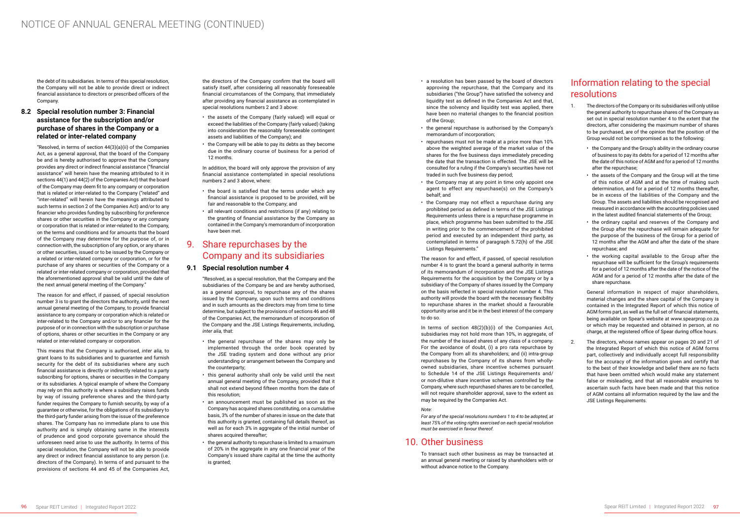the debt of its subsidiaries. In terms of this special resolution, the Company will not be able to provide direct or indirect financial assistance to directors or prescribed officers of the Company.

## **8.2 Special resolution number 3: Financial assistance for the subscription and/or purchase of shares in the Company or a related or inter-related company**

"Resolved, in terms of section 44(3)(a)(ii) of the Companies Act, as a general approval, that the board of the Company be and is hereby authorised to approve that the Company provides any direct or indirect financial assistance ("financial assistance" will herein have the meaning attributed to it in sections 44(1) and 44(2) of the Companies Act) that the board of the Company may deem fit to any company or corporation that is related or inter-related to the Company ("related" and "inter-related" will herein have the meanings attributed to such terms in section 2 of the Companies Act) and/or to any financier who provides funding by subscribing for preference shares or other securities in the Company or any company or corporation that is related or inter-related to the Company, on the terms and conditions and for amounts that the board of the Company may determine for the purpose of, or in connection with, the subscription of any option, or any shares or other securities, issued or to be issued by the Company or a related or inter-related company or corporation, or for the purchase of any shares or securities of the Company or a related or inter-related company or corporation, provided that the aforementioned approval shall be valid until the date of the next annual general meeting of the Company."

The reason for and effect, if passed, of special resolution number 3 is to grant the directors the authority, until the next annual general meeting of the Company, to provide financial assistance to any company or corporation which is related or inter-related to the Company and/or to any financier for the purpose of or in connection with the subscription or purchase of options, shares or other securities in the Company or any related or inter-related company or corporation.

This means that the Company is authorised, *inter alia,* to grant loans to its subsidiaries and to guarantee and furnish security for the debt of its subsidiaries where any such financial assistance is directly or indirectly related to a party subscribing for options, shares or securities in the Company or its subsidiaries. A typical example of where the Company may rely on this authority is where a subsidiary raises funds by way of issuing preference shares and the third-party funder requires the Company to furnish security, by way of a guarantee or otherwise, for the obligations of its subsidiary to the third-party funder arising from the issue of the preference shares. The Company has no immediate plans to use this authority and is simply obtaining same in the interests of prudence and good corporate governance should the unforeseen need arise to use the authority. In terms of this special resolution, the Company will not be able to provide any direct or indirect financial assistance to any person (i.e. directors of the Company). In terms of and pursuant to the provisions of sections 44 and 45 of the Companies Act,

the directors of the Company confirm that the board will satisfy itself, after considering all reasonably foreseeable financial circumstances of the Company, that immediately after providing any financial assistance as contemplated in special resolutions numbers 2 and 3 above:

- the assets of the Company (fairly valued) will equal or exceed the liabilities of the Company (fairly valued) (taking into consideration the reasonably foreseeable contingent assets and liabilities of the Company); and
- the Company will be able to pay its debts as they become due in the ordinary course of business for a period of 12 months.

In addition, the board will only approve the provision of any financial assistance contemplated in special resolutions numbers 2 and 3 above, where:

> In terms of section  $48(2)(b)(i)$  of the Companies Act, subsidiaries may not hold more than 10%, in aggregate, of the number of the issued shares of any class of a company. For the avoidance of doubt, (i) a pro rata repurchase by the Company from all its shareholders; and (ii) intra-group repurchases by the Company of its shares from whollyowned subsidiaries, share incentive schemes pursuant to Schedule 14 of the JSE Listings Requirements and/ or non-dilutive share incentive schemes controlled by the Company, where such repurchased shares are to be cancelled, will not require shareholder approval, save to the extent as may be required by the Companies Act.

- the board is satisfied that the terms under which any financial assistance is proposed to be provided, will be fair and reasonable to the Company; and
- all relevant conditions and restrictions (if any) relating to the granting of financial assistance by the Company as contained in the Company's memorandum of incorporation have been met.

## 9. Share repurchases by the Company and its subsidiaries

#### **9.1 Special resolution number 4**

"Resolved, as a special resolution, that the Company and the subsidiaries of the Company be and are hereby authorised, as a general approval, to repurchase any of the shares issued by the Company, upon such terms and conditions and in such amounts as the directors may from time to time determine, but subject to the provisions of sections 46 and 48 of the Companies Act, the memorandum of incorporation of the Company and the JSE Listings Requirements, including, *inter alia,* that:

- the general repurchase of the shares may only be implemented through the order book operated by the JSE trading system and done without any prior understanding or arrangement between the Company and the counterparty;
- this general authority shall only be valid until the next annual general meeting of the Company, provided that it shall not extend beyond fifteen months from the date of this resolution;
- an announcement must be published as soon as the Company has acquired shares constituting, on a cumulative basis, 3% of the number of shares in issue on the date that this authority is granted, containing full details thereof, as well as for each 3% in aggregate of the initial number of shares acquired thereafter;
- the general authority to repurchase is limited to a maximum of 20% in the aggregate in any one financial year of the Company's issued share capital at the time the authority is granted;
- a resolution has been passed by the board of directors approving the repurchase, that the Company and its subsidiaries ("the Group") have satisfied the solvency and liquidity test as defined in the Companies Act and that, since the solvency and liquidity test was applied, there have been no material changes to the financial position of the Group;
- the general repurchase is authorised by the Company's memorandum of incorporation;
- repurchases must not be made at a price more than 10% above the weighted average of the market value of the shares for the five business days immediately preceding the date that the transaction is effected. The JSE will be consulted for a ruling if the Company's securities have not traded in such five business day period;
- the Company may at any point in time only appoint one agent to effect any repurchase(s) on the Company's behalf; and
- the Company may not effect a repurchase during any prohibited period as defined in terms of the JSE Listings Requirements unless there is a repurchase programme in place, which programme has been submitted to the JSE in writing prior to the commencement of the prohibited period and executed by an independent third party, as contemplated in terms of paragraph 5.72(h) of the JSE Listings Requirements."

The reason for and effect, if passed, of special resolution number 4 is to grant the board a general authority in terms of its memorandum of incorporation and the JSE Listings Requirements for the acquisition by the Company or by a subsidiary of the Company of shares issued by the Company on the basis reflected in special resolution number 4. This authority will provide the board with the necessary flexibility to repurchase shares in the market should a favourable opportunity arise and it be in the best interest of the company to do so.

#### *Note:*

*For any of the special resolutions numbers 1 to 4 to be adopted, at least 75% of the voting rights exercised on each special resolution must be exercised in favour thereof.*

## 10. Other business

To transact such other business as may be transacted at an annual general meeting or raised by shareholders with or without advance notice to the Company.

# Information relating to the special resolutions

- 1. The directors of the Company or its subsidiaries will only utilise the general authority to repurchase shares of the Company as set out in special resolution number 4 to the extent that the directors, after considering the maximum number of shares to be purchased, are of the opinion that the position of the Group would not be compromised as to the following:
	- the Company and the Group's ability in the ordinary course of business to pay its debts for a period of 12 months after the date of this notice of AGM and for a period of 12 months after the repurchase;
	- the assets of the Company and the Group will at the time of this notice of AGM and at the time of making such determination, and for a period of 12 months thereafter, be in excess of the liabilities of the Company and the Group. The assets and liabilities should be recognised and measured in accordance with the accounting policies used in the latest audited financial statements of the Group;
	- the ordinary capital and reserves of the Company and the Group after the repurchase will remain adequate for the purpose of the business of the Group for a period of 12 months after the AGM and after the date of the share repurchase; and
	- the working capital available to the Group after the repurchase will be sufficient for the Group's requirements for a period of 12 months after the date of the notice of the AGM and for a period of 12 months after the date of the share repurchase.

General information in respect of major shareholders, material changes and the share capital of the Company is contained in the Integrated Report of which this notice of AGM forms part, as well as the full set of financial statements, being available on Spear's website at www.spearprop.co.za or which may be requested and obtained in person, at no charge, at the registered office of Spear during office hours.

2. The directors, whose names appear on pages 20 and 21 of the Integrated Report of which this notice of AGM forms part, collectively and individually accept full responsibility for the accuracy of the information given and certify that to the best of their knowledge and belief there are no facts that have been omitted which would make any statement false or misleading, and that all reasonable enquiries to ascertain such facts have been made and that this notice of AGM contains all information required by the law and the JSE Listings Requirements.